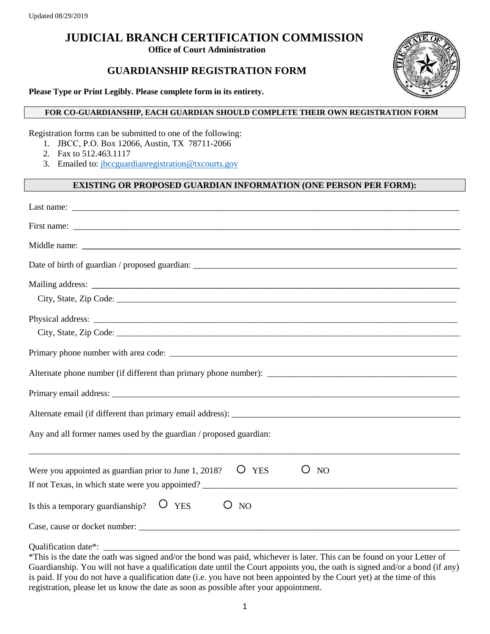# **JUDICIAL BRANCH CERTIFICATION COMMISSION**

**Office of Court Administration**

## **GUARDIANSHIP REGISTRATION FORM**



**Please Type or Print Legibly. Please complete form in its entirety.**

#### **FOR CO-GUARDIANSHIP, EACH GUARDIAN SHOULD COMPLETE THEIR OWN REGISTRATION FORM**

Registration forms can be submitted to one of the following:

- 1. JBCC, P.O. Box 12066, Austin, TX 78711-2066
- 2. Fax to 512.463.1117
- 3. Emailed to: jbccguardianregistration@txcourts.gov

### **EXISTING OR PROPOSED GUARDIAN INFORMATION (ONE PERSON PER FORM):**

| Last name: $\frac{1}{\sqrt{1-\frac{1}{2}}\sqrt{1-\frac{1}{2}}\sqrt{1-\frac{1}{2}}\sqrt{1-\frac{1}{2}}\sqrt{1-\frac{1}{2}}\sqrt{1-\frac{1}{2}}\sqrt{1-\frac{1}{2}}\sqrt{1-\frac{1}{2}}\sqrt{1-\frac{1}{2}}\sqrt{1-\frac{1}{2}}\sqrt{1-\frac{1}{2}}\sqrt{1-\frac{1}{2}}\sqrt{1-\frac{1}{2}}\sqrt{1-\frac{1}{2}}\sqrt{1-\frac{1}{2}}\sqrt{1-\frac{1}{2}}\sqrt{1-\frac{1}{2}}\sqrt{1-\frac{1}{2}}\sqrt{1-\frac$ |
|-------------------------------------------------------------------------------------------------------------------------------------------------------------------------------------------------------------------------------------------------------------------------------------------------------------------------------------------------------------------------------------------------------------|
|                                                                                                                                                                                                                                                                                                                                                                                                             |
|                                                                                                                                                                                                                                                                                                                                                                                                             |
|                                                                                                                                                                                                                                                                                                                                                                                                             |
|                                                                                                                                                                                                                                                                                                                                                                                                             |
|                                                                                                                                                                                                                                                                                                                                                                                                             |
|                                                                                                                                                                                                                                                                                                                                                                                                             |
|                                                                                                                                                                                                                                                                                                                                                                                                             |
|                                                                                                                                                                                                                                                                                                                                                                                                             |
|                                                                                                                                                                                                                                                                                                                                                                                                             |
|                                                                                                                                                                                                                                                                                                                                                                                                             |
|                                                                                                                                                                                                                                                                                                                                                                                                             |
| Any and all former names used by the guardian / proposed guardian:                                                                                                                                                                                                                                                                                                                                          |
| O<br>Were you appointed as guardian prior to June 1, 2018?<br><b>YES</b><br>()<br><b>NO</b>                                                                                                                                                                                                                                                                                                                 |
| Is this a temporary guardianship?<br>$\overline{O}$ YES<br>$\left( \right)$<br><b>NO</b>                                                                                                                                                                                                                                                                                                                    |
|                                                                                                                                                                                                                                                                                                                                                                                                             |
| Oualification date*:                                                                                                                                                                                                                                                                                                                                                                                        |

\*This is the date the oath was signed and/or the bond was paid, whichever is later. This can be found on your Letter of Guardianship. You will not have a qualification date until the Court appoints you, the oath is signed and/or a bond (if any) is paid. If you do not have a qualification date (i.e. you have not been appointed by the Court yet) at the time of this registration, please let us know the date as soon as possible after your appointment.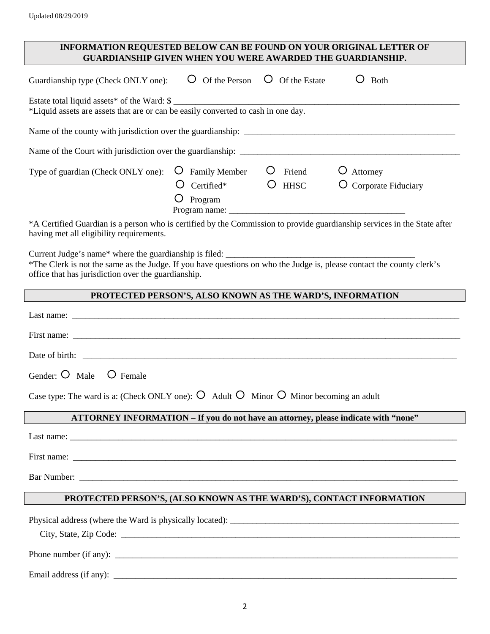#### **INFORMATION REQUESTED BELOW CAN BE FOUND ON YOUR ORIGINAL LETTER OF GUARDIANSHIP GIVEN WHEN YOU WERE AWARDED THE GUARDIANSHIP.**

| Guardianship type (Check ONLY one):                                                                                              | Of the Person                                                       | Of the Estate         | <b>Both</b>                       |
|----------------------------------------------------------------------------------------------------------------------------------|---------------------------------------------------------------------|-----------------------|-----------------------------------|
| Estate total liquid assets* of the Ward: \$<br>*Liquid assets are assets that are or can be easily converted to cash in one day. |                                                                     |                       |                                   |
| Name of the county with jurisdiction over the guardianship:                                                                      |                                                                     |                       |                                   |
| Name of the Court with jurisdiction over the guardianship:                                                                       |                                                                     |                       |                                   |
| Type of guardian (Check ONLY one):                                                                                               | <b>Family Member</b><br>Ô<br>Certified*<br>Program<br>Program name: | Friend<br><b>HHSC</b> | Attorney<br>O Corporate Fiduciary |
| *A Certified Guardian is a person who is certified by the Commission to provide guardianship services in the State after         |                                                                     |                       |                                   |

having met all eligibility requirements.

Current Judge's name\* where the guardianship is filed: \_\_\_\_\_\_\_\_\_\_\_\_\_\_\_\_\_\_\_\_\_\_\_\_\_

\*The Clerk is not the same as the Judge. If you have questions on who the Judge is, please contact the county clerk's office that has jurisdiction over the guardianship.

#### **PROTECTED PERSON'S, ALSO KNOWN AS THE WARD'S, INFORMATION**

Email address (if any): \_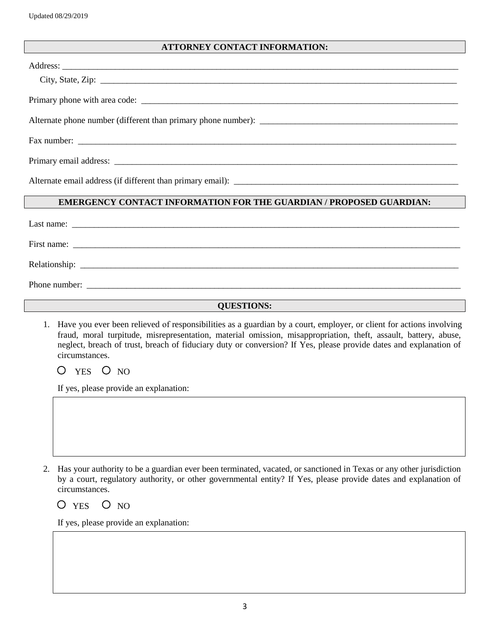#### **ATTORNEY CONTACT INFORMATION:**

| Alternate phone number (different than primary phone number): |
|---------------------------------------------------------------|
|                                                               |
|                                                               |
|                                                               |

#### **EMERGENCY CONTACT INFORMATION FOR THE GUARDIAN / PROPOSED GUARDIAN:**

| Last name:    |                                                                                                                       |  |  |
|---------------|-----------------------------------------------------------------------------------------------------------------------|--|--|
| First name:   | <u> 1989 - Johann Stoff, deutscher Stoff, der Stoff, der Stoff, der Stoff, der Stoff, der Stoff, der Stoff, der S</u> |  |  |
|               |                                                                                                                       |  |  |
| Phone number: |                                                                                                                       |  |  |

#### **QUESTIONS:**

1. Have you ever been relieved of responsibilities as a guardian by a court, employer, or client for actions involving fraud, moral turpitude, misrepresentation, material omission, misappropriation, theft, assault, battery, abuse, neglect, breach of trust, breach of fiduciary duty or conversion? If Yes, please provide dates and explanation of circumstances.

 $O$  YES  $O$  NO

If yes, please provide an explanation:

2. Has your authority to be a guardian ever been terminated, vacated, or sanctioned in Texas or any other jurisdiction by a court, regulatory authority, or other governmental entity? If Yes, please provide dates and explanation of circumstances.

 $O$  YES  $O$  NO

If yes, please provide an explanation: